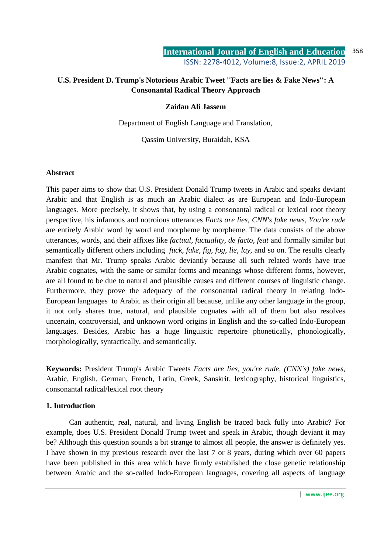# **U.S. President D. Trump's Notorious Arabic Tweet ''Facts are lies & Fake News'': A Consonantal Radical Theory Approach**

### **Zaidan Ali Jassem**

Department of English Language and Translation,

Qassim University, Buraidah, KSA

### **Abstract**

This paper aims to show that U.S. President Donald Trump tweets in Arabic and speaks deviant Arabic and that English is as much an Arabic dialect as are European and Indo-European languages. More precisely, it shows that, by using a consonantal radical or lexical root theory perspective, his infamous and notroious utterances *Facts are lies, CNN's fake news, You're rude*  are entirely Arabic word by word and morpheme by morpheme. The data consists of the above utterances, words, and their affixes like *factual, factuality, de facto, feat* and formally similar but semantically different others including *fuck, fake, fig, fog, lie, lay*, and so on. The results clearly manifest that Mr. Trump speaks Arabic deviantly because all such related words have true Arabic cognates, with the same or similar forms and meanings whose different forms, however, are all found to be due to natural and plausible causes and different courses of linguistic change. Furthermore, they prove the adequacy of the consonantal radical theory in relating Indo-European languages to Arabic as their origin all because, unlike any other language in the group, it not only shares true, natural, and plausible cognates with all of them but also resolves uncertain, controversial, and unknown word origins in English and the so-called Indo-European languages. Besides, Arabic has a huge linguistic repertoire phonetically, phonologically, morphologically, syntactically, and semantically.

**Keywords:** President Trump's Arabic Tweets *Facts are lies, you're rude, (CNN's) fake news*, Arabic, English, German, French, Latin, Greek, Sanskrit, lexicography, historical linguistics, consonantal radical/lexical root theory

### **1. Introduction**

Can authentic, real, natural, and living English be traced back fully into Arabic? For example, does U.S. President Donald Trump tweet and speak in Arabic, though deviant it may be? Although this question sounds a bit strange to almost all people, the answer is definitely yes. I have shown in my previous research over the last 7 or 8 years, during which over 60 papers have been published in this area which have firmly established the close genetic relationship between Arabic and the so-called Indo-European languages, covering all aspects of language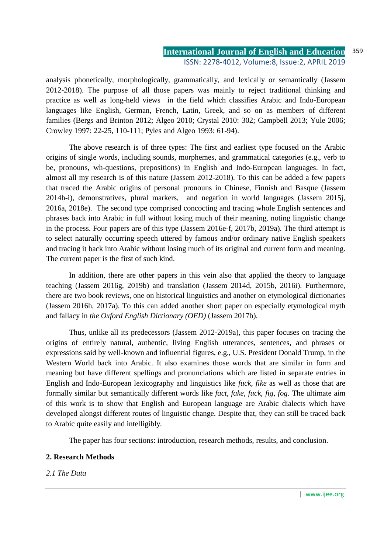analysis phonetically, morphologically, grammatically, and lexically or semantically (Jassem 2012-2018). The purpose of all those papers was mainly to reject traditional thinking and practice as well as long-held views in the field which classifies Arabic and Indo-European languages like English, German, French, Latin, Greek, and so on as members of different families (Bergs and Brinton 2012; Algeo 2010; Crystal 2010: 302; Campbell 2013; Yule 2006; Crowley 1997: 22-25, 110-111; Pyles and Algeo 1993: 61-94).

The above research is of three types: The first and earliest type focused on the Arabic origins of single words, including sounds, morphemes, and grammatical categories (e.g., verb to be, pronouns, wh-questions, prepositions) in English and Indo-European languages. In fact, almost all my research is of this nature (Jassem 2012-2018). To this can be added a few papers that traced the Arabic origins of personal pronouns in Chinese, Finnish and Basque (Jassem 2014h-i), demonstratives, plural markers, and negation in world languages (Jassem 2015j, 2016a, 2018e). The second type comprised concocting and tracing whole English sentences and phrases back into Arabic in full without losing much of their meaning, noting linguistic change in the process. Four papers are of this type (Jassem 2016e-f, 2017b, 2019a). The third attempt is to select naturally occurring speech uttered by famous and/or ordinary native English speakers and tracing it back into Arabic without losing much of its original and current form and meaning. The current paper is the first of such kind.

In addition, there are other papers in this vein also that applied the theory to language teaching (Jassem 2016g, 2019b) and translation (Jassem 2014d, 2015b, 2016i). Furthermore, there are two book reviews, one on historical linguistics and another on etymological dictionaries (Jassem 2016h, 2017a). To this can added another short paper on especially etymological myth and fallacy in *the Oxford English Dictionary (OED)* (Jassem 2017b).

Thus, unlike all its predecessors (Jassem 2012-2019a), this paper focuses on tracing the origins of entirely natural, authentic, living English utterances, sentences, and phrases or expressions said by well-known and influential figures, e.g., U.S. President Donald Trump, in the Western World back into Arabic. It also examines those words that are similar in form and meaning but have different spellings and pronunciations which are listed in separate entries in English and Indo-European lexicography and linguistics like *fuck, fike* as well as those that are formally similar but semantically different words like *fact, fake, fuck, fig, fog*. The ultimate aim of this work is to show that English and European language are Arabic dialects which have developed alongst different routes of linguistic change. Despite that, they can still be traced back to Arabic quite easily and intelligibly.

The paper has four sections: introduction, research methods, results, and conclusion.

### **2. Research Methods**

*2.1 The Data*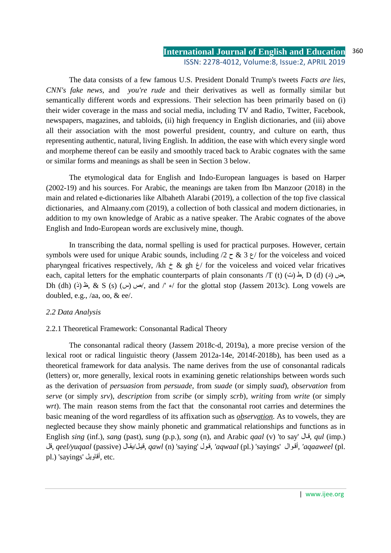The data consists of a few famous U.S. President Donald Trump's tweets *Facts are lies, CNN's fake news,* and *you're rude* and their derivatives as well as formally similar but semantically different words and expressions. Their selection has been primarily based on (i) their wider coverage in the mass and social media, including TV and Radio, Twitter, Facebook, newspapers, magazines, and tabloids, (ii) high frequency in English dictionaries, and (iii) above all their association with the most powerful president, country, and culture on earth, thus representing authentic, natural, living English. In addition, the ease with which every single word and morpheme thereof can be easily and smoothly traced back to Arabic cognates with the same or similar forms and meanings as shall be seen in Section 3 below.

The etymological data for English and Indo-European languages is based on Harper (2002-19) and his sources. For Arabic, the meanings are taken from Ibn Manzoor (2018) in the main and related e-dictionaries like Albaheth Alarabi (2019), a collection of the top five classical dictionaries, and Almaany.com (2019), a collection of both classical and modern dictionaries, in addition to my own knowledge of Arabic as a native speaker. The Arabic cognates of the above English and Indo-European words are exclusively mine, though.

In transcribing the data, normal spelling is used for practical purposes. However, certain symbols were used for unique Arabic sounds, including  $/2 \zeta \propto 3 \zeta$  for the voiceless and voiced pharyngeal fricatives respectively, /kh  $\dot{\tau}$  & gh  $\dot{\tau}$ / for the voiceless and voiced velar fricatives each, capital letters for the emphatic counterparts of plain consonants /T (t)  $(\triangle)$  ( $\triangle$ , D (d)  $(\triangle)$ , Dh (dh) (خ)  $\&$  S (s) (س (س), and /'  $\epsilon$  for the glottal stop (Jassem 2013c). Long vowels are doubled, e.g., /aa, oo, & ee/.

### *2.2 Data Analysis*

### 2.2.1 Theoretical Framework: Consonantal Radical Theory

 The consonantal radical theory (Jassem 2018c-d, 2019a), a more precise version of the lexical root or radical linguistic theory (Jassem 2012a-14e, 2014f-2018b), has been used as a theoretical framework for data analysis. The name derives from the use of consonantal radicals (letters) or, more generally, lexical roots in examining genetic relationships between words such as the derivation of *persuasion* from *persuade*, from *suade* (or simply *suad*), *observation* from *serve* (or simply *srv*), *description* from *scribe* (or simply *scrb*), *writing* from *write* (or simply *wrt*). The main reason stems from the fact that the consonantal root carries and determines the basic meaning of the word regardless of its affixation such as *observation*. As to vowels, they are neglected because they show mainly phonetic and grammatical relationships and functions as in English *sing* (inf.), *sang* (past), *sung* (p.p.), *song* (n), and Arabic *qaal* (v) 'to say' الق, *qul* (imp.) قل, *qeel/yuqaal* (passive) اليق/لقي, *qawl* (n) 'saying' ولق,*' aqwaal* (pl.) 'sayings' والأق,*' aqaaweel* (pl. pl.) 'sayings' أقاويل, etc.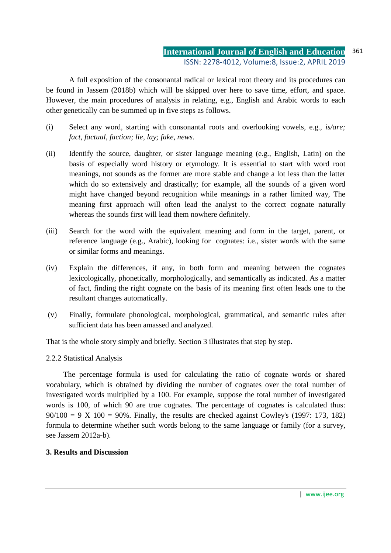A full exposition of the consonantal radical or lexical root theory and its procedures can be found in Jassem (2018b) which will be skipped over here to save time, effort, and space. However, the main procedures of analysis in relating, e.g., English and Arabic words to each other genetically can be summed up in five steps as follows.

- (i) Select any word, starting with consonantal roots and overlooking vowels, e.g., *is/are; fact, factual, faction; lie, lay; fake, news*.
- (ii) Identify the source, daughter, or sister language meaning (e.g., English, Latin) on the basis of especially word history or etymology. It is essential to start with word root meanings, not sounds as the former are more stable and change a lot less than the latter which do so extensively and drastically; for example, all the sounds of a given word might have changed beyond recognition while meanings in a rather limited way, The meaning first approach will often lead the analyst to the correct cognate naturally whereas the sounds first will lead them nowhere definitely.
- (iii) Search for the word with the equivalent meaning and form in the target, parent, or reference language (e.g., Arabic), looking for cognates: i.e., sister words with the same or similar forms and meanings.
- (iv) Explain the differences, if any, in both form and meaning between the cognates lexicologically, phonetically, morphologically, and semantically as indicated. As a matter of fact, finding the right cognate on the basis of its meaning first often leads one to the resultant changes automatically.
- (v) Finally, formulate phonological, morphological, grammatical, and semantic rules after sufficient data has been amassed and analyzed.

That is the whole story simply and briefly. Section 3 illustrates that step by step.

## 2.2.2 Statistical Analysis

The percentage formula is used for calculating the ratio of cognate words or shared vocabulary, which is obtained by dividing the number of cognates over the total number of investigated words multiplied by a 100. For example, suppose the total number of investigated words is 100, of which 90 are true cognates. The percentage of cognates is calculated thus:  $90/100 = 9$  X  $100 = 90\%$ . Finally, the results are checked against Cowley's (1997: 173, 182) formula to determine whether such words belong to the same language or family (for a survey, see Jassem 2012a-b).

### **3. Results and Discussion**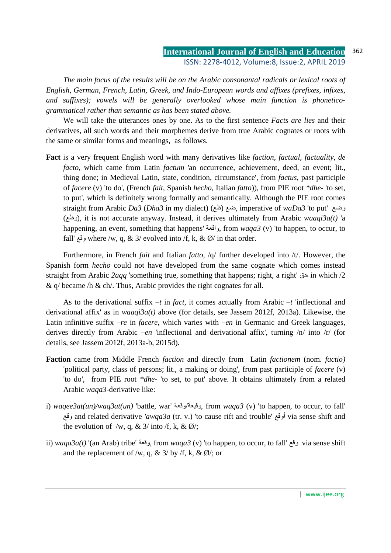*The main focus of the results will be on the Arabic consonantal radicals or lexical roots of English, German, French, Latin, Greek, and Indo-European words and affixes (prefixes, infixes, and suffixes); vowels will be generally overlooked whose main function is phoneticogrammatical rather than semantic as has been stated above.* 

We will take the utterances ones by one. As to the first sentence *Facts are lies* and their derivatives, all such words and their morphemes derive from true Arabic cognates or roots with the same or similar forms and meanings, as follows.

**Fact** is a very frequent English word with many derivatives like *faction, factual, factuality, de facto*, which came from Latin *factum* 'an occurrence, achievement, deed, an event; lit., thing done; in Medieval Latin, state, condition, circumstance', from *factus*, past participle of *facere* (v) 'to do', (French *fait*, Spanish *hecho*, Italian *fatto*)), from PIE root *\*dhe-* 'to set, to put', which is definitely wrong formally and semantically. Although the PIE root comes straight from Arabic *Da3* (*Dha3* in my dialect) ( , imperative of ظع (ضع *waDa3* 'to put' وضع ( , it is not accurate anyway. Instead, it derives u وظع (ltimately from Arabic *waaqi3a(t)* 'a happening, an event, something that happens' واقعة, from *waqa3* (v) 'to happen, to occur, to fall' وقع where /w, q, & 3/ evolved into /f, k, & Ø/ in that order.

Furthermore, in French *fait* and Italian *fatto*, /q/ further developed into /t/. However, the Spanish form *hecho* could not have developed from the same cognate which comes instead straight from Arabic *2aqq* 'something true, something that happens; right, a right' حق in which /2 &  $q$  became  $/h$  & ch. Thus, Arabic provides the right cognates for all.

As to the derivational suffix *–t* in *fact*, it comes actually from Arabic *–t* 'inflectional and derivational affix' as in *waaqi3a(t)* above (for details, see Jassem 2012f, 2013a). Likewise, the Latin infinitive suffix *–re* in *facere*, which varies with *–en* in Germanic and Greek languages, derives directly from Arabic *–en* 'inflectional and derivational affix', turning /n/ into /r/ (for details, see Jassem 2012f, 2013a-b, 2015d).

- **Faction** came from Middle French *faction* and directly from Latin *factionem* (nom. *factio)*  'political party, class of persons; lit., a making or doing', from past participle of *facere* (v) 'to do', from PIE root *\*dhe-* 'to set, to put' above. It obtains ultimately from a related Arabic *waqa3-*derivative like:
- i) *waqee3at(un)/waq3at(un)* 'battle, war' وقعة/وقيعة, from *waqa3* (v) 'to happen, to occur, to fall' وقع and related derivative *'awqa3a* (tr. v.) 'to cause rift and trouble' أوقع via sense shift and the evolution of /w, q, &  $3/$  into /f, k, &  $\emptyset$ /;
- ii) *waqa3a(t)* '(an Arab) tribe' وقعة, from *waqa3* (v) 'to happen, to occur, to fall' وقع via sense shift and the replacement of /w, q, &  $3/$  by /f, k, &  $\emptyset$ /; or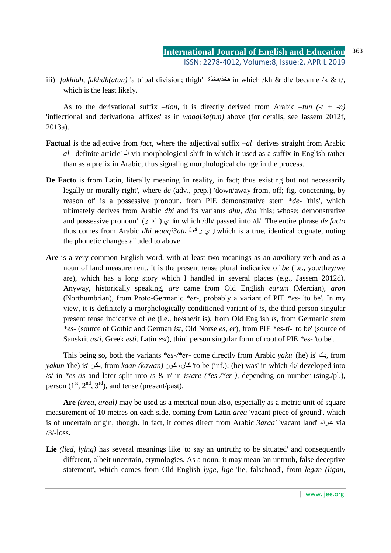iii) *fakhidh, fakhdh(atun)* 'a tribal division; thigh' فخذة/فخذ in which /kh & dh/ became /k & t/, which is the least likely.

As to the derivational suffix *–tion*, it is directly derived from Arabic *–tun (-t + -n)* 'inflectional and derivational affixes' as in *waaqi3a(tun)* above (for details, see Jassem 2012f, 2013a).

- **Factual** is the adjective from *fact*, where the adjectival suffix *–al* derives straight from Arabic *al-* 'definite article' الـ via morphological shift in which it used as a suffix in English rather than as a prefix in Arabic, thus signaling morphological change in the process.
- **De Facto** is from Latin, literally meaning 'in reality, in fact; thus existing but not necessarily legally or morally right', where *de* (adv., prep.) 'down/away from, off; fig. concerning, by reason of' is a possessive pronoun, from PIE demonstrative stem *\*de-* 'this', which ultimately derives from Arabic *dhi* and its variants *dhu, dha* 'this; whose; demonstrative and possessive pronoun' ( in which /dh/ passed into /d/. The entire phrase ذو ،ذا (ذي *de facto* thus comes from Arabic *dhi waaqi3atu* واقعة ذي, which is a true, identical cognate, noting the phonetic changes alluded to above.
- **Are** is a very common English word, with at least two meanings as an auxiliary verb and as a noun of land measurement. It is the present tense plural indicative of *be* (i.e., you/they/we are), which has a long story which I handled in several places (e.g., Jassem 2012d). Anyway, historically speaking, *are* came from Old English *earum* (Mercian), *aron*  (Northumbrian), from Proto-Germanic *\*er-*, probably a variant of PIE *\*es-* 'to be'. In my view, it is definitely a morphologically conditioned variant of *is*, the third person singular present tense indicative of *be* (i.e., he/she/it is), from Old English *is*, from Germanic stem *\*es-* (source of Gothic and German *ist*, Old Norse *es, er*), from PIE *\*es-ti-* 'to be' (source of Sanskrit *asti*, Greek *esti*, Latin *est*), third person singular form of root of PIE *\*es-* 'to be'.

This being so, both the variants *\*es-/\*er-* come directly from Arabic *yaku* '(he) is' كي, from *yakun* '(he) is' يكن, from *kaan (kawan)* يكن 'to be (inf.); (he) was' in which /k/ developed into /s/ in *\*es-/is* and later split into /s & r/ in *is/are (\*es-/\*er-)*, depending on number (sing./pl.), person  $(1<sup>st</sup>, 2<sup>nd</sup>, 3<sup>rd</sup>)$ , and tense (present/past).

**Are** *(area, areal)* may be used as a metrical noun also, especially as a metric unit of square measurement of 10 metres on each side, coming from Latin *area* 'vacant piece of ground', which is of uncertain origin, though. In fact, it comes direct from Arabic *3araa'* 'vacant land' راءع via  $/3/-$ loss.

Lie *(lied, lying)* has several meanings like 'to say an untruth; to be situated' and consequently different, albeit uncertain, etymologies. As a noun, it may mean 'an untruth, false deceptive statement', which comes from Old English *lyge, lige* 'lie, falsehood', from *legan (ligan,*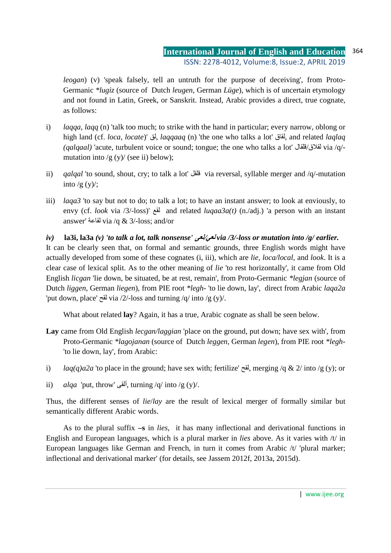*leogan*) (v) 'speak falsely, tell an untruth for the purpose of deceiving', from Proto-Germanic *\*lugiz* (source of Dutch *leugen*, German *Lüge*), which is of uncertain etymology and not found in Latin, Greek, or Sanskrit. Instead, Arabic provides a direct, true cognate, as follows:

- i) *laqqa, laqq* (n) 'talk too much; to strike with the hand in particular; every narrow, oblong or high land (cf. *loca, locate*)' لق, *laqqaaq* (n) 'the one who talks a lot' لقاق, and related *laqlaq (qalqaal)* 'acute, turbulent voice or sound; tongue; the one who talks a lot' لقلاق/فالقال/via /q/mutation into  $/g(y)/(see ii)$  below);
- ii) *qalqal* 'to sound, shout, cry; to talk a lot' لقلق via reversal, syllable merger and /q/-mutation into  $/g (y)$ :
- iii) *laqa3* 'to say but not to do; to talk a lot; to have an instant answer; to look at enviously, to envy (cf. *look* via /3/-loss)' لقع and related *luqaa3a(t)* (n./adj.) 'a person with an instant answer' لقاعة via /q & 3/-loss; and/or

## *iv)* **la3i, la3a** *(v) 'to talk a lot, talk nonsense'* **لعى***/***لعي** *via /3/-loss or mutation into /g/ earlier.*

It can be clearly seen that, on formal and semantic grounds, three English words might have actually developed from some of these cognates (i, iii), which are *lie, loca/local,* and *look*. It is a clear case of lexical split. As to the other meaning of *lie* 'to rest horizontally', it came from Old English *licgan* 'lie down, be situated, be at rest, remain', from Proto-Germanic *\*legjan* (source of Dutch *liggen*, German *liegen*), from PIE root *\*legh-* 'to lie down, lay', direct from Arabic *laqa2a* 'put down, place' لقح via /2/-loss and turning /q/ into /g (y)/.

What about related **lay**? Again, it has a true, Arabic cognate as shall be seen below.

- **Lay** came from Old English *lecgan/laggian* 'place on the ground, put down; have sex with', from Proto-Germanic *\*lagojanan* (source of Dutch *leggen*, German *legen*), from PIE root *\*legh-* 'to lie down, lay', from Arabic:
- i) *laq(q)a2a* 'to place in the ground; have sex with; fertilize' لقح, merging /q & 2/ into /g (y); or
- ii) *alqa* 'put, throw' ألقى, turning /q/ into /g (y)/.

Thus, the different senses of *lie*/*lay* are the result of lexical merger of formally similar but semantically different Arabic words.

As to the plural suffix **–s** in *lies*,it has many inflectional and derivational functions in English and European languages, which is a plural marker in *lies* above. As it varies with /t/ in European languages like German and French, in turn it comes from Arabic /t/ 'plural marker; inflectional and derivational marker' (for details, see Jassem 2012f, 2013a, 2015d).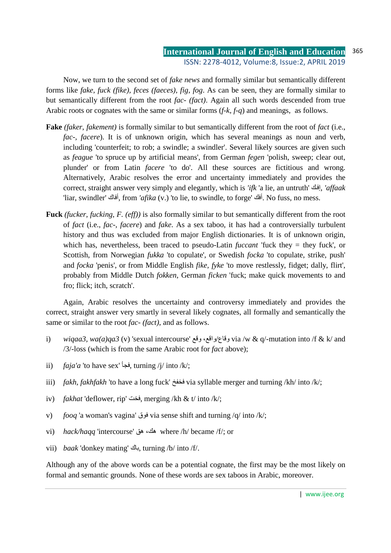Now, we turn to the second set of *fake news* and formally similar but semantically different forms like *fake, fuck (fike), feces (faeces), fig, fog*. As can be seen, they are formally similar to but semantically different from the root *fac- (fact)*. Again all such words descended from true Arabic roots or cognates with the same or similar forms (*f-k, f-q*) and meanings, as follows.

- **Fake** *(faker, fakement)* is formally similar to but semantically different from the root of *fact* (i.e., *fac-, facere*). It is of unknown origin, which has several meanings as noun and verb, including 'counterfeit; to rob; a swindle; a swindler'. Several likely sources are given such as *feague* 'to spruce up by artificial means', from German *fegen* 'polish, sweep; clear out, plunder' or from Latin *facere* 'to do'. All these sources are fictitious and wrong. Alternatively, Arabic resolves the error and uncertainty immediately and provides the correct, straight answer very simply and elegantly, which is *'ifk* 'a lie, an untruth' كإف,*' affaak*  'liar, swindler' أفاك, from *'afika* (v.) 'to lie, to swindle, to forge' أفك. No fuss, no mess.
- **Fuck** *(fucker, fucking, F. (eff))* is also formally similar to but semantically different from the root of *fact* (i.e., *fac-, facere*) and *fake*. As a sex taboo, it has had a controversially turbulent history and thus was excluded from major English dictionaries. It is of unknown origin, which has, nevertheless, been traced to pseudo-Latin *fuccant* 'fuck they = they fuck', or Scottish, from Norwegian *fukka* 'to copulate', or Swedish *focka* 'to copulate, strike, push' and *focka* 'penis', or from Middle English *fike, fyke* 'to move restlessly, fidget; dally, flirt', probably from Middle Dutch *fokken*, German *ficken* 'fuck; make quick movements to and fro; flick; itch, scratch'.

Again, Arabic resolves the uncertainty and controversy immediately and provides the correct, straight answer very smartly in several likely cognates, all formally and semantically the same or similar to the root *fac- (fact)*, and as follows.

- i) *wiqaa3, wa(a)qa3* (v) 'sexual intercourse' وقاع/واقع، وقع via /w & q/-mutation into /f & k/ and /3/-loss (which is from the same Arabic root for *fact* above);
- ii) *faja'a* 'to have sex' فجأ, turning /j/ into /k/;
- iii) *fakh, fakhfakh* 'to have a long fuck' فخفخ via syllable merger and turning /kh/ into /k/;
- iv) *fakhat* 'deflower, rip' فخت, merging /kh & t/ into /k/;
- v) *fooq* 'a woman's vagina' فوق via sense shift and turning /q/ into /k/;
- vi) *hack/haqq* 'intercourse' هك، هق where /h/ became /f/; or
- vii) *baak* 'donkey mating' باك, turning /b/ into /f/.

Although any of the above words can be a potential cognate, the first may be the most likely on formal and semantic grounds. None of these words are sex taboos in Arabic, moreover.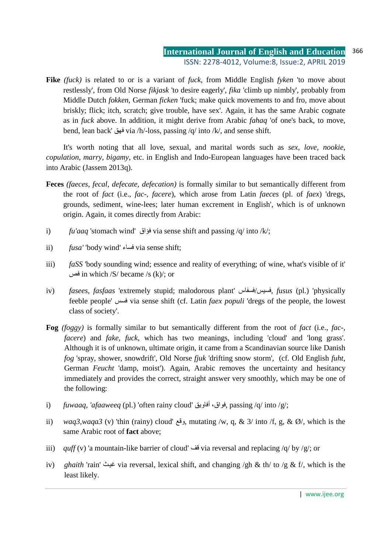**Fike** *(fuck)* is related to or is a variant of *fuck*, from Middle English *fyken* 'to move about restlessly', from Old Norse *fikjask* 'to desire eagerly', *fika* 'climb up nimbly', probably from Middle Dutch *fokken*, German *ficken* 'fuck; make quick movements to and fro, move about briskly; flick; itch, scratch; give trouble, have sex'. Again, it has the same Arabic cognate as in *fuck* above. In addition, it might derive from Arabic *fahaq* 'of one's back, to move, bend, lean back' فهق via /h/-loss, passing /q/ into /k/, and sense shift.

It's worth noting that all love, sexual, and marital words such as *sex, love, nookie, copulation, marry, bigamy*, etc. in English and Indo-European languages have been traced back into Arabic (Jassem 2013q).

- **Feces** *(faeces, fecal, defecate, defecation)* is formally similar to but semantically different from the root of *fact* (i.e., *fac-, facere*), which arose from Latin *faeces* (pl. of *faex*) 'dregs, grounds, sediment, wine-lees; later human excrement in English', which is of unknown origin. Again, it comes directly from Arabic:
- i) *fu'aaq* 'stomach wind' فؤاق via sense shift and passing /q/ into /k/;
- ii) *fusa'* 'body wind' فساء via sense shift;
- iii) *faSS* 'body sounding wind; essence and reality of everything; of wine, what's visible of it' فص in which /S/ became /s (k)/; or
- iv) *fasees, fasfaas* 'extremely stupid; malodorous plant' فسفاس/فسيس, *fusus* (pl.) 'physically feeble people' فسس via sense shift (cf. Latin *faex populi* 'dregs of the people, the lowest class of society'.
- **Fog** *(foggy)* is formally similar to but semantically different from the root of *fact* (i.e., *fac-, facere*) and *fake, fuck*, which has two meanings, including 'cloud' and 'long grass'. Although it is of unknown, ultimate origin, it came from a Scandinavian source like Danish *fog* 'spray, shower, snowdrift', Old Norse *fjuk* 'drifting snow storm', (cf. Old English *fuht*, German *Feucht* 'damp, moist'). Again, Arabic removes the uncertainty and hesitancy immediately and provides the correct, straight answer very smoothly, which may be one of the following:
- i) *fuwaaq, 'afaaweeq* (pl.) 'often rainy cloud' أفاويق ،فواق, passing /q/ into /g/;
- ii) *waq3,waqa3* (v) 'thin (rainy) cloud' وقع, mutating /w, q, & 3/ into /f, g, & Ø/, which is the same Arabic root of **fact** above;
- iii) *quff* (v) 'a mountain-like barrier of cloud' قف via reversal and replacing /q/ by /g/; or
- iv) *ghaith* 'rain' غيث via reversal, lexical shift, and changing /gh & th/ to /g & f/, which is the least likely.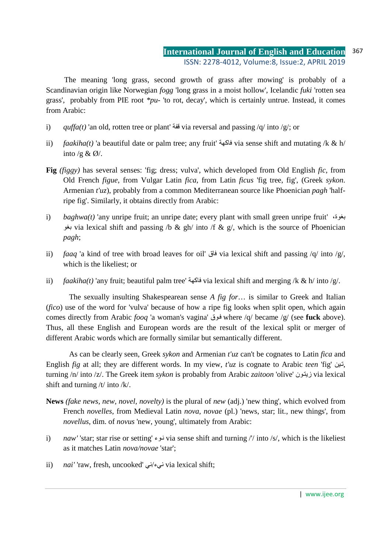The meaning 'long grass, second growth of grass after mowing' is probably of a Scandinavian origin like Norwegian *fogg* 'long grass in a moist hollow', Icelandic *fuki* 'rotten sea grass', probably from PIE root *\*pu-* 'to rot, decay', which is certainly untrue. Instead, it comes from Arabic:

- i) *quffa(t)* 'an old, rotten tree or plant' قفة via reversal and passing /q/ into /g/; or
- ii) *faakiha(t)* 'a beautiful date or palm tree; any fruit' فاكهة via sense shift and mutating /k & h/ into /g &  $\emptyset$ /.
- **Fig** *(figgy)* has several senses: 'fig; dress; vulva', which developed from Old English *fic*, from Old French *figue*, from Vulgar Latin *fica*, from Latin *ficus* 'fig tree, fig', (Greek *sykon*. Armenian *t'uz*), probably from a common Mediterranean source like Phoenician *pagh* 'halfripe fig'. Similarly, it obtains directly from Arabic:
- i) *baghwa(t)* 'any unripe fruit; an unripe date; every plant with small green unripe fruit' ،بغوة بغو via lexical shift and passing /b & gh/ into /f & g/, which is the source of Phoenician *pagh*;
- ii) *faaq* 'a kind of tree with broad leaves for oil' فاق via lexical shift and passing /q/ into /g/, which is the likeliest; or
- ii) *faakiha(t)* 'any fruit; beautiful palm tree' فاكهة via lexical shift and merging /k & h/ into /g/.

The sexually insulting Shakespearean sense *A fig for*… is similar to Greek and Italian (*fico*) use of the word for 'vulva' because of how a ripe fig looks when split open, which again comes directly from Arabic *fooq* 'a woman's vagina' وقف where /q/ became /g/ (see **fuck** above). Thus, all these English and European words are the result of the lexical split or merger of different Arabic words which are formally similar but semantically different.

 As can be clearly seen, Greek *sykon* and Armenian *t'uz* can't be cognates to Latin *fica* and English *fig* at all; they are different words. In my view, *t'uz* is cognate to Arabic *teen* 'fig' ينت, turning /n/ into /z/. The Greek item *sykon* is probably from Arabic *zaitoon* 'olive' ونزيت via lexical shift and turning /t/ into /k/.

- **News** *(fake news, new, novel, novelty)* is the plural of *new* (adj.) 'new thing', which evolved from French *novelles*, from Medieval Latin *nova, novae* (pl.) 'news, star; lit., new things', from *novellus*, dim. of *novus* 'new, young', ultimately from Arabic:
- i) *naw'* 'star; star rise or setting' وءن via sense shift and turning /'/ into /s/, which is the likeliest as it matches Latin *nova/novae* 'star';
- ii) *nai'* 'raw, fresh, uncooked' ني/نيء via lexical shift;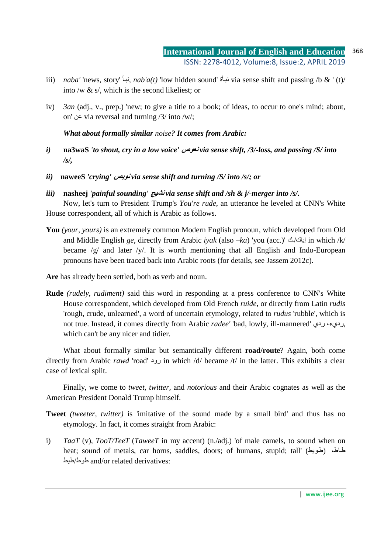- iii) *naba'* 'news, story' أنبأ, *nab'a(t)* 'low hidden sound' أنبأ via sense shift and passing /b & ' (t)/ into /w & s/, which is the second likeliest; or
- iv) *3an* (adj., v., prep.) 'new; to give a title to a book; of ideas, to occur to one's mind; about, on' عن via reversal and turning /3/ into /w/;

*What about formally similar noise? It comes from Arabic:* 

- *i)* **na3waS** *'to shout, cry in a low voice'* **نعوص** *via sense shift, /3/-loss, and passing /S/ into /s/,*
- *ii)* **naweeS** *'crying'* **نويص** *via sense shift and turning /S/ into /s/; or*
- *iii)* **nasheej** *'painful sounding'* **نشيج** *via sense shift and /sh & j/-merger into /s/.*

Now, let's turn to President Trump's *You're rude*, an utterance he leveled at CNN's White House correspondent, all of which is Arabic as follows.

**You** *(your, yours)* is an extremely common Modern English pronoun, which developed from Old and Middle English *ge*, directly from Arabic *iyak* (also *–ka*) 'you (acc.)' ـك/إياك in which /k/ became /g/ and later /y/. It is worth mentioning that all English and Indo-European pronouns have been traced back into Arabic roots (for details, see Jassem 2012c).

Are has already been settled, both as verb and noun.

**Rude** *(rudely, rudiment)* said this word in responding at a press conference to CNN's White House correspondent, which developed from Old French *ruide*, or directly from Latin *rudis* 'rough, crude, unlearned', a word of uncertain etymology, related to *rudus* 'rubble', which is not true. Instead, it comes directly from Arabic *radee'* 'bad, lowly, ill-mannered' ردي ،رديء, which can't be any nicer and tidier.

What about formally similar but semantically different **road/route**? Again, both come directly from Arabic *rawd* 'road' رود in which /d/ became /t/ in the latter. This exhibits a clear case of lexical split.

Finally, we come to *tweet, twitter,* and *notorious* and their Arabic cognates as well as the American President Donald Trump himself.

- **Tweet** *(tweeter, twitter)* is 'imitative of the sound made by a small bird' and thus has no etymology. In fact, it comes straight from Arabic:
- i) *TaaT* (v), *TooT/TeeT* (*TaweeT* in my accent) (n./adj.) 'of male camels, to sound when on heat; sound of metals, car horns, saddles, doors; of humans, stupid; tall' (طويط) مطاط، طيط/طوط and/or related derivatives: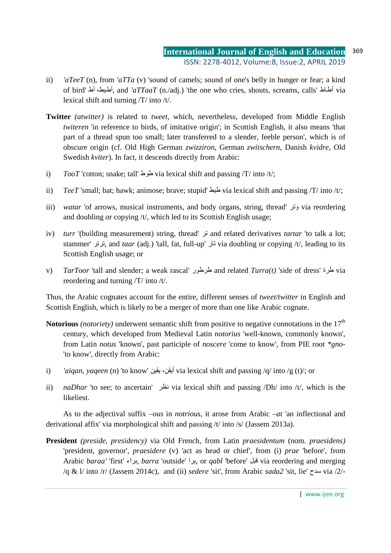- ii) *'aTeeT* (n), from *'aTTa* (v) 'sound of camels; sound of one's belly in hunger or fear; a kind of bird' أط ،يطأط, and *'aTTaaT* (n./adj.) 'the one who cries, shouts, screams, calls' اطأط via lexical shift and turning /T/ into /t/.
- **Twitter** *(atwitter)* is related to *tweet*, which, nevertheless, developed from Middle English *twiteren* 'in reference to birds, of imitative origin'; in Scottish English, it also means 'that part of a thread spun too small; later transferred to a slender, feeble person', which is of obscure origin (cf. Old High German *zwizziron*, German *zwitschern*, Danish *kvidre*, Old Swedish *kviter*). In fact, it descends directly from Arabic:
- i) *TooT* 'cotton; snake; tall' طوط via lexical shift and passing /T/ into /t/;
- ii) *TeeT* 'small; bat; hawk; animose; brave; stupid' طيط via lexical shift and passing /T/ into /t/;
- iii) *watar* 'of arrows, musical instruments, and body organs, string, thread' وتر via reordering and doubling or copying /t/, which led to its Scottish English usage;
- iv) *turr* '(building measurement) string, thread' تر and related derivatives *tartar* 'to talk a lot; stammer' ترتر, and *taar* (adj.) 'tall, fat, full-up' تار via doubling or copying /t/, leading to its Scottish English usage; or
- v) *TarToor* 'tall and slender; a weak rascal' طرطور and related *Turra(t)* 'side of dress' طرة via reordering and turning /T/ into /t/.

Thus, the Arabic cognates account for the entire, different senses of *tweet/twitter* in English and Scottish English, which is likely to be a merger of more than one like Arabic cognate.

- Notorious *(notoriety)* underwent semantic shift from positive to negative connotations in the 17<sup>th</sup> century, which developed from Medieval Latin *notorius* 'well-known, commonly known', from Latin *notus* 'known', past participle of *noscere* 'come to know', from PIE root *\*gno-* 'to know', directly from Arabic:
- i) *'aigan, yaqeen* (n) 'to know' أيقن، بقين via lexical shift and passing /q/ into /g (t)/; or
- ii) *naDhar* 'to see; to ascertain' نظر via lexical shift and passing /Dh/ into /t/, which is the likeliest.

As to the adjectival suffix *–ous* in *notrious*, it arose from Arabic *–at* 'an inflectional and derivational affix' via morphological shift and passing /t/ into /s/ (Jassem 2013a).

**President** *(preside, presidency)* via Old French, from Latin *praesidentum* (nom. *praesidens)*  'president, governor', *praesidere* (v) 'act as head or chief', from (i) *prae* 'before', from Arabic *baraa'* 'first' براء, *barra* 'outside' برا, or *qabl* 'before' قبل via reordering and merging /q & l/ into /r/ (Jassem 2014c), and (ii) *sedere* 'sit', from Arabic *sada2* 'sit, lie' سدح via /2/-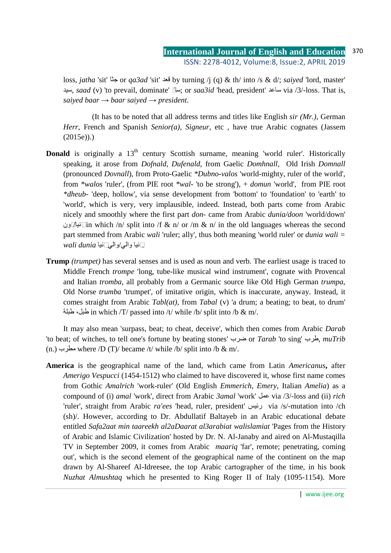loss, *jatha* 'sit' جثا or *qa3ad* 'sit' قعد by turning /j (q) & th/ into /s & d/; *saiyed* 'lord, master' سيد, *saad* (v) 'to prevail, dominate' ساد ;or *saa3id* 'head, president' ساعد via /3/-loss. That is, *saiyed baar*  $\rightarrow$  *baar saiyed*  $\rightarrow$  *president.* 

(It has to be noted that all address terms and titles like English *sir (Mr.)*, German *Herr*, French and Spanish *Senior(a), Signeur*, etc , have true Arabic cognates (Jassem (2015e)).)

- **Donald** is originally a 13<sup>th</sup> century Scottish surname, meaning 'world ruler'. Historically speaking, it arose from *Dofnald, Dufenald*, from Gaelic *Domhnall*, Old Irish *Domnall*  (pronounced *Dovnall*), from Proto-Gaelic *\*Dubno-valos* 'world-mighty, ruler of the world', from *\*walos* 'ruler', (from PIE root *\*wal-* 'to be strong'), + *domun* 'world', from PIE root *\*dheub-* 'deep, hollow', via sense development from 'bottom' to 'foundation' to 'earth' to 'world', which is very, very implausible, indeed. Instead, both parts come from Arabic nicely and smoothly where the first part *don-* came from Arabic *dunia/doon* 'world/down' نيا [انيال] in which /n/ split into /f & n/ or /m & n/ in the old languages whereas the second part stemmed from Arabic *wali* 'ruler; ally', thus both meaning 'world ruler' or *dunia wali =*  .دنيا والي/والي دنيا *dunia wali*
- **Trump** *(trumpet)* has several senses and is used as noun and verb. The earliest usage is traced to Middle French *trompe* 'long, tube-like musical wind instrument', cognate with Provencal and Italian *tromba*, all probably from a Germanic source like Old High German *trumpa*, Old Norse *trumba* 'trumpet', of imitative origin, which is inaccurate, anyway. Instead, it comes straight from Arabic *Tabl(at),* from *Tabal* (v) 'a drum; a beating; to beat, to drum' طبلة in which /T/ passed into /t/ while /b/ split into /b & m/.

It may also mean 'surpass, beat; to cheat, deceive', which then comes from Arabic *Darab* 'to beat; of witches, to tell one's fortune by beating stones' ضرب or *Tarab* 'to sing' طرب, *muTrib* (n.) مطرب where /D (T)/ became /t/ while /b/ split into /b & m/.

**America** is the geographical name of the land, which came from Latin *Americanus***,** after *Amerigo Vespucci* (1454-1512) who claimed to have discovered it, whose first name comes from Gothic *Amalrich* 'work-ruler' (Old English *Emmerich, Emery*, Italian *Amelia*) as a compound of (i) *amal* 'work', direct from Arabic *3amal* 'work' عمل via /3/-loss and (ii) *rich* 'ruler', straight from Arabic *ra'ees* 'head, ruler, president' رئيس via /s/-mutation into /ch (sh)/. However, according to Dr. Abdullatif Baltayeb in an Arabic educational debate entitled *Safa2aat min taareekh al2aDaarat al3arabiat walislamiat* 'Pages from the History of Arabic and Islamic Civilization' hosted by Dr. N. Al-Janaby and aired on Al-Mustaqilla TV in September 2009, it comes from Arabic *maariq* 'far', remote; penetrating, coming out', which is the second element of the geographical name of the continent on the map drawn by Al-Shareef Al-Idreesee, the top Arabic cartographer of the time, in his book *Nuzhat Almushtaq* which he presented to King Roger II of Italy (1095-1154). More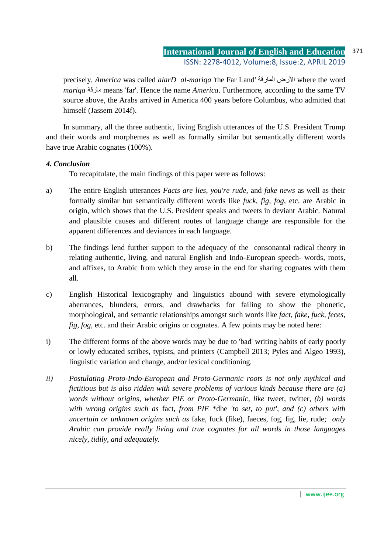precisely, *America* was called *alarD al-mariqa* 'the Far Land' المارقة الأرض where the word *mariqa* مارقة means 'far'. Hence the name *America*. Furthermore, according to the same TV source above, the Arabs arrived in America 400 years before Columbus, who admitted that himself (Jassem 2014f).

In summary, all the three authentic, living English utterances of the U.S. President Trump and their words and morphemes as well as formally similar but semantically different words have true Arabic cognates (100%).

### *4. Conclusion*

To recapitulate, the main findings of this paper were as follows:

- a) The entire English utterances *Facts are lies, you're rude,* and *fake news* as well as their formally similar but semantically different words like *fuck, fig, fog*, etc. are Arabic in origin, which shows that the U.S. President speaks and tweets in deviant Arabic. Natural and plausible causes and different routes of language change are responsible for the apparent differences and deviances in each language.
- b) The findings lend further support to the adequacy of the consonantal radical theory in relating authentic, living, and natural English and Indo-European speech- words, roots, and affixes, to Arabic from which they arose in the end for sharing cognates with them all.
- c) English Historical lexicography and linguistics abound with severe etymologically aberrances, blunders, errors, and drawbacks for failing to show the phonetic, morphological, and semantic relationships amongst such words like *fact, fake, fuck, feces, fig, fog, etc.* and their Arabic origins or cognates. A few points may be noted here:
- i) The different forms of the above words may be due to 'bad' writing habits of early poorly or lowly educated scribes, typists, and printers (Campbell 2013; Pyles and Algeo 1993), linguistic variation and change, and/or lexical conditioning.
- *ii) Postulating Proto-Indo-European and Proto-Germanic roots is not only mythical and fictitious but is also ridden with severe problems of various kinds because there are (a) words without origins, whether PIE or Proto-Germanic, like* tweet, twitter*, (b) words with wrong origins such as* fact*, from PIE* \*dhe *'to set, to put', and (c) others with uncertain or unknown origins such as* fake, fuck (fike), faeces, fog, fig, lie, rude*; only Arabic can provide really living and true cognates for all words in those languages nicely, tidily, and adequately.*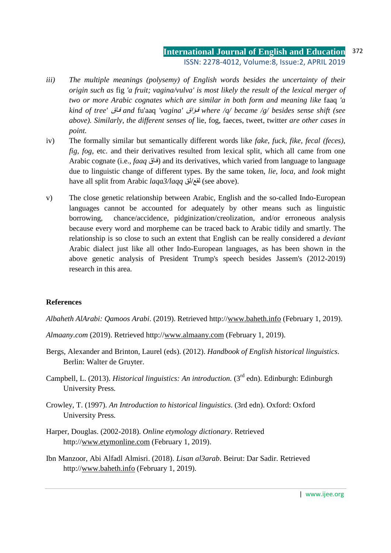- *iii) The multiple meanings (polysemy) of English words besides the uncertainty of their origin such as* fig *'a fruit; vagina/vulva' is most likely the result of the lexical merger of two or more Arabic cognates which are similar in both form and meaning like* faaq *'a kind of tree'* اقف *and* fu'aaq *'vagina'* ؤاقف *where /q/ became /g/ besides sense shift (see above). Similarly, the different senses of* lie, fog, faeces, tweet, twitter *are other cases in point.*
- iv) The formally similar but semantically different words like *fake, fuck, fike, fecal (feces), fig, fog,* etc. and their derivatives resulted from lexical split, which all came from one Arabic cognate (i.e., *faaq* اقاق) and its derivatives, which varied from language to language due to linguistic change of different types. By the same token, *lie, loca,* and *look* might have all split from Arabic *laqa3/laqq* لقع/لق (see above).
- v) The close genetic relationship between Arabic, English and the so-called Indo-European languages cannot be accounted for adequately by other means such as linguistic borrowing, chance/accidence, pidginization/creolization, and/or erroneous analysis because every word and morpheme can be traced back to Arabic tidily and smartly. The relationship is so close to such an extent that English can be really considered a *deviant* Arabic dialect just like all other Indo-European languages, as has been shown in the above genetic analysis of President Trump's speech besides Jassem's (2012-2019) research in this area.

### **References**

*Albaheth AlArabi: Qamoos Arabi*. (2019). Retrieved http://www.baheth.info (February 1, 2019).

- *Almaany.com* (2019). Retrieved http://www.almaany.com (February 1, 2019).
- Bergs, Alexander and Brinton, Laurel (eds). (2012). *Handbook of English historical linguistics*. Berlin: Walter de Gruyter.
- Campbell, L. (2013). *Historical linguistics: An introduction.* (3<sup>rd</sup> edn). Edinburgh: Edinburgh University Press.
- Crowley, T. (1997). *An Introduction to historical linguistics*. (3rd edn). Oxford: Oxford University Press.
- Harper, Douglas. (2002-2018). *Online etymology dictionary*. Retrieved http://www.etymonline.com (February 1, 2019).
- Ibn Manzoor, Abi Alfadl Almisri. (2018). *Lisan al3arab*. Beirut: Dar Sadir. Retrieved http://www.baheth.info (February 1, 2019).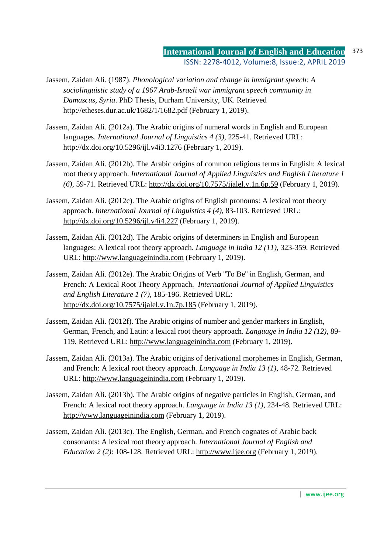- Jassem, Zaidan Ali. (1987). *Phonological variation and change in immigrant speech: A sociolinguistic study of a 1967 Arab-Israeli war immigrant speech community in Damascus, Syria*. PhD Thesis, Durham University, UK. Retrieved http://etheses.dur.ac.uk/1682/1/1682.pdf (February 1, 2019).
- Jassem, Zaidan Ali. (2012a). The Arabic origins of numeral words in English and European languages. *International Journal of Linguistics 4 (3)*, 225-41. Retrieved URL: http://dx.doi.org/10.5296/ijl.v4i3.1276 (February 1, 2019).
- Jassem, Zaidan Ali. (2012b). The Arabic origins of common religious terms in English: A lexical root theory approach. *International Journal of Applied Linguistics and English Literature 1 (6)*, 59-71. Retrieved URL: http://dx.doi.org/10.7575/ijalel.v.1n.6p.59 (February 1, 2019).
- Jassem, Zaidan Ali. (2012c). The Arabic origins of English pronouns: A lexical root theory approach. *International Journal of Linguistics 4 (4)*, 83-103. Retrieved URL: http://dx.doi.org/10.5296/ijl.v4i4.227 (February 1, 2019).
- Jassem, Zaidan Ali. (2012d). The Arabic origins of determiners in English and European languages: A lexical root theory approach. *Language in India 12 (11)*, 323-359*.* Retrieved URL: http://www.languageinindia.com (February 1, 2019).
- Jassem, Zaidan Ali. (2012e). The Arabic Origins of Verb ''To Be'' in English, German, and French: A Lexical Root Theory Approach. *International Journal of Applied Linguistics and English Literature 1 (7)*, 185-196. Retrieved URL: http://dx.doi.org/10.7575/ijalel.v.1n.7p.185 (February 1, 2019).
- Jassem, Zaidan Ali. (2012f). The Arabic origins of number and gender markers in English, German, French, and Latin: a lexical root theory approach. *Language in India 12 (12)*, 89- 119*.* Retrieved URL: http://www.languageinindia.com (February 1, 2019).
- Jassem, Zaidan Ali. (2013a). The Arabic origins of derivational morphemes in English, German, and French: A lexical root theory approach. *Language in India 13 (1)*, 48-72*.* Retrieved URL: http://www.languageinindia.com (February 1, 2019).
- Jassem, Zaidan Ali. (2013b). The Arabic origins of negative particles in English, German, and French: A lexical root theory approach. *Language in India 13 (1)*, 234-48*.* Retrieved URL: http://www.languageinindia.com (February 1, 2019).
- Jassem, Zaidan Ali. (2013c). The English, German, and French cognates of Arabic back consonants: A lexical root theory approach. *International Journal of English and Education 2 (2)*: 108-128*.* Retrieved URL: http://www.ijee.org (February 1, 2019).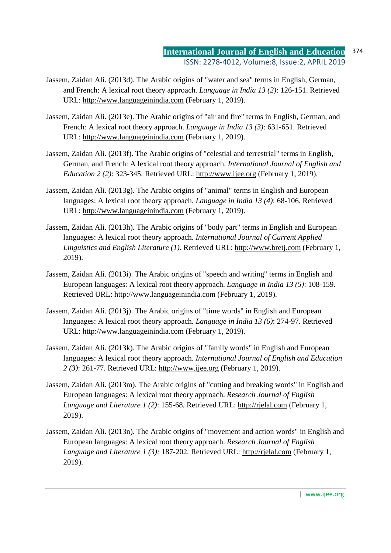- Jassem, Zaidan Ali. (2013d). The Arabic origins of "water and sea" terms in English, German, and French: A lexical root theory approach. *Language in India 13 (2)*: 126-151. Retrieved URL: http://www.languageinindia.com (February 1, 2019).
- Jassem, Zaidan Ali. (2013e). The Arabic origins of "air and fire" terms in English, German, and French: A lexical root theory approach. *Language in India 13 (3)*: 631-651. Retrieved URL: http://www.languageinindia.com (February 1, 2019).
- Jassem, Zaidan Ali. (2013f). The Arabic origins of "celestial and terrestrial" terms in English, German, and French: A lexical root theory approach. *International Journal of English and Education 2 (2)*: 323-345*.* Retrieved URL: http://www.ijee.org (February 1, 2019).
- Jassem, Zaidan Ali. (2013g). The Arabic origins of "animal" terms in English and European languages: A lexical root theory approach. *Language in India 13 (4)*: 68-106. Retrieved URL: http://www.languageinindia.com (February 1, 2019).
- Jassem, Zaidan Ali. (2013h). The Arabic origins of "body part" terms in English and European languages: A lexical root theory approach. *International Journal of Current Applied Linguistics and English Literature (1)*. Retrieved URL: http://www.bretj.com (February 1, 2019).
- Jassem, Zaidan Ali. (2013i). The Arabic origins of "speech and writing" terms in English and European languages: A lexical root theory approach. *Language in India 13 (5)*: 108-159. Retrieved URL: http://www.languageinindia.com (February 1, 2019).
- Jassem, Zaidan Ali. (2013j). The Arabic origins of "time words" in English and European languages: A lexical root theory approach. *Language in India 13 (6)*: 274-97. Retrieved URL: http://www.languageinindia.com (February 1, 2019).
- Jassem, Zaidan Ali. (2013k). The Arabic origins of "family words" in English and European languages: A lexical root theory approach. *International Journal of English and Education 2 (3)*: 261-77. Retrieved URL: http://www.ijee.org (February 1, 2019).
- Jassem, Zaidan Ali. (2013m). The Arabic origins of "cutting and breaking words" in English and European languages: A lexical root theory approach. *Research Journal of English Language and Literature 1 (2)*: 155-68*.* Retrieved URL: http://rjelal.com (February 1, 2019).
- Jassem, Zaidan Ali. (2013n). The Arabic origins of "movement and action words" in English and European languages: A lexical root theory approach. *Research Journal of English Language and Literature 1 (3):* 187-202*.* Retrieved URL: http://rjelal.com (February 1, 2019).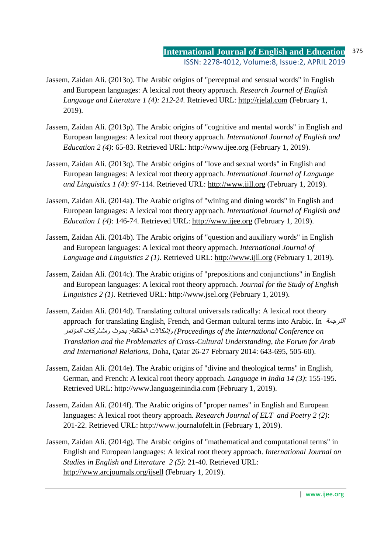- Jassem, Zaidan Ali. (2013o). The Arabic origins of "perceptual and sensual words" in English and European languages: A lexical root theory approach. *Research Journal of English Language and Literature 1 (4): 212-24.* Retrieved URL: http://rjelal.com (February 1, 2019).
- Jassem, Zaidan Ali. (2013p). The Arabic origins of "cognitive and mental words" in English and European languages: A lexical root theory approach. *International Journal of English and Education 2 (4)*: 65-83. Retrieved URL: http://www.ijee.org (February 1, 2019).
- Jassem, Zaidan Ali. (2013q). The Arabic origins of "love and sexual words" in English and European languages: A lexical root theory approach. *International Journal of Language and Linguistics 1 (4)*: 97-114. Retrieved URL: http://www.ijll.org (February 1, 2019).
- Jassem, Zaidan Ali. (2014a). The Arabic origins of "wining and dining words" in English and European languages: A lexical root theory approach. *International Journal of English and Education 1 (4)*: 146-74. Retrieved URL: http://www.ijee.org (February 1, 2019).
- Jassem, Zaidan Ali. (2014b). The Arabic origins of "question and auxiliary words" in English and European languages: A lexical root theory approach. *International Journal of Language and Linguistics 2 (1)*. Retrieved URL: http://www.ijll.org (February 1, 2019).
- Jassem, Zaidan Ali. (2014c). The Arabic origins of "prepositions and conjunctions" in English and European languages: A lexical root theory approach. *Journal for the Study of English Linguistics 2 (1)*. Retrieved URL: http://www.jsel.org (February 1, 2019).
- Jassem, Zaidan Ali. (2014d). Translating cultural universals radically: A lexical root theory approach for translating English, French, and German cultural terms into Arabic. In الترجمة المؤتمر ومشاركات بحوث :المثاقفة وإشكالات*) Proceedings of the International Conference on Translation and the Problematics of Cross-Cultural Understanding, the Forum for Arab and International Relations*, Doha, Qatar 26-27 February 2014: 643-695, 505-60).
- Jassem, Zaidan Ali. (2014e). The Arabic origins of "divine and theological terms" in English, German, and French: A lexical root theory approach. *Language in India 14 (3)*: 155-195. Retrieved URL: http://www.languageinindia.com (February 1, 2019).
- Jassem, Zaidan Ali. (2014f). The Arabic origins of "proper names" in English and European languages: A lexical root theory approach. *Research Journal of ELT and Poetry 2 (2)*: 201-22. Retrieved URL: http://www.journalofelt.in (February 1, 2019).
- Jassem, Zaidan Ali. (2014g). The Arabic origins of "mathematical and computational terms" in English and European languages: A lexical root theory approach. *International Journal on Studies in English and Literature 2 (5)*: 21-40. Retrieved URL: http://www.arcjournals.org/ijsell (February 1, 2019).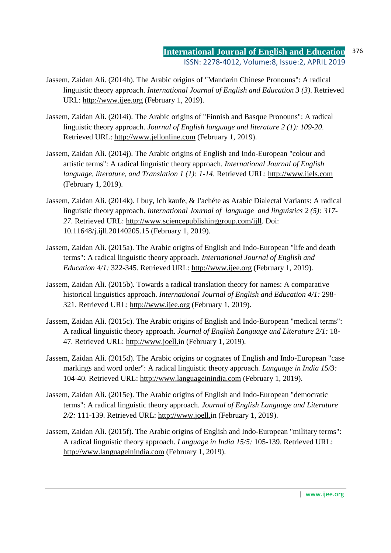- Jassem, Zaidan Ali. (2014h). The Arabic origins of "Mandarin Chinese Pronouns": A radical linguistic theory approach. *International Journal of English and Education 3 (3)*. Retrieved URL: http://www.ijee.org (February 1, 2019).
- Jassem, Zaidan Ali. (2014i). The Arabic origins of "Finnish and Basque Pronouns": A radical linguistic theory approach. *Journal of English language and literature 2 (1): 109-20*. Retrieved URL: http://www.jellonline.com (February 1, 2019).
- Jassem, Zaidan Ali. (2014j). The Arabic origins of English and Indo-European "colour and artistic terms": A radical linguistic theory approach. *International Journal of English language, literature, and Translation 1 (1): 1-14*. Retrieved URL: http://www.ijels.com (February 1, 2019).
- Jassem, Zaidan Ali. (2014k). I buy, Ich kaufe, & J'achéte as Arabic Dialectal Variants: A radical linguistic theory approach. *International Journal of language and linguistics 2 (5): 317- 27*. Retrieved URL: http://www.sciencepublishinggroup.com/ijll. Doi: 10.11648/j.ijll.20140205.15 (February 1, 2019).
- Jassem, Zaidan Ali. (2015a). The Arabic origins of English and Indo-European "life and death terms": A radical linguistic theory approach. *International Journal of English and Education 4/1:* 322-345. Retrieved URL: http://www.ijee.org (February 1, 2019).
- Jassem, Zaidan Ali. (2015b). Towards a radical translation theory for names: A comparative historical linguistics approach. *International Journal of English and Education 4/1:* 298- 321. Retrieved URL: http://www.ijee.org (February 1, 2019).
- Jassem, Zaidan Ali. (2015c). The Arabic origins of English and Indo-European "medical terms": A radical linguistic theory approach. *Journal of English Language and Literature 2/1:* 18- 47. Retrieved URL: http://www.joell.in (February 1, 2019).
- Jassem, Zaidan Ali. (2015d). The Arabic origins or cognates of English and Indo-European "case markings and word order": A radical linguistic theory approach. *Language in India 15/3:*  104-40. Retrieved URL: http://www.languageinindia.com (February 1, 2019).
- Jassem, Zaidan Ali. (2015e). The Arabic origins of English and Indo-European "democratic terms": A radical linguistic theory approach. *Journal of English Language and Literature 2/2:* 111-139. Retrieved URL: http://www.joell.in (February 1, 2019).
- Jassem, Zaidan Ali. (2015f). The Arabic origins of English and Indo-European "military terms": A radical linguistic theory approach. *Language in India 15/5:* 105-139. Retrieved URL: http://www.languageinindia.com (February 1, 2019).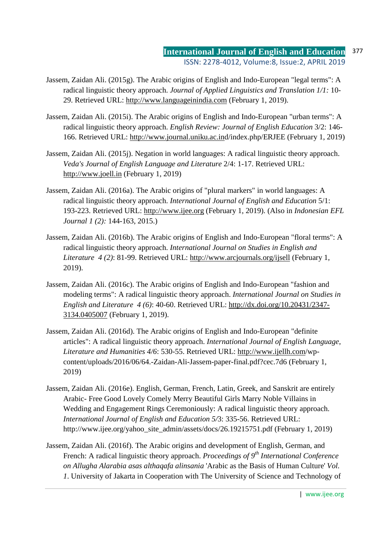- Jassem, Zaidan Ali. (2015g). The Arabic origins of English and Indo-European "legal terms": A radical linguistic theory approach. *Journal of Applied Linguistics and Translation 1/1:* 10- 29. Retrieved URL: http://www.languageinindia.com (February 1, 2019).
- Jassem, Zaidan Ali. (2015i). The Arabic origins of English and Indo-European "urban terms": A radical linguistic theory approach. *English Review: Journal of English Education* 3/2: 146- 166. Retrieved URL: http://www.journal.uniku.ac.ind/index.php/ERJEE (February 1, 2019)
- Jassem, Zaidan Ali. (2015j). Negation in world languages: A radical linguistic theory approach. *Veda's Journal of English Language and Literature* 2/4: 1-17. Retrieved URL: http://www.joell.in (February 1, 2019)
- Jassem, Zaidan Ali. (2016a). The Arabic origins of "plural markers" in world languages: A radical linguistic theory approach. *International Journal of English and Education* 5/1: 193-223. Retrieved URL: http://www.ijee.org (February 1, 2019). (Also in *Indonesian EFL Journal 1 (2):* 144-163, 2015.)
- Jassem, Zaidan Ali. (2016b). The Arabic origins of English and Indo-European "floral terms": A radical linguistic theory approach. *International Journal on Studies in English and Literature 4 (2)*: 81-99. Retrieved URL: http://www.arcjournals.org/ijsell (February 1, 2019).
- Jassem, Zaidan Ali. (2016c). The Arabic origins of English and Indo-European "fashion and modeling terms": A radical linguistic theory approach. *International Journal on Studies in English and Literature 4 (6)*: 40-60. Retrieved URL: http://dx.doi.org/10.20431/2347- 3134.0405007 (February 1, 2019).
- Jassem, Zaidan Ali. (2016d). The Arabic origins of English and Indo-European "definite articles": A radical linguistic theory approach. *International Journal of English Language, Literature and Humanities 4/6*: 530-55. Retrieved URL: http://www.ijellh.com/wpcontent/uploads/2016/06/64.-Zaidan-Ali-Jassem-paper-final.pdf?cec.7d6 (February 1, 2019)
- Jassem, Zaidan Ali. (2016e). English, German, French, Latin, Greek, and Sanskrit are entirely Arabic- Free Good Lovely Comely Merry Beautiful Girls Marry Noble Villains in Wedding and Engagement Rings Ceremoniously: A radical linguistic theory approach. *International Journal of English and Education 5/*3: 335-56. Retrieved URL: http://www.ijee.org/yahoo\_site\_admin/assets/docs/26.19215751.pdf (February 1, 2019)
- Jassem, Zaidan Ali. (2016f). The Arabic origins and development of English, German, and French: A radical linguistic theory approach. *Proceedings of 9th International Conference on Allugha Alarabia asas althaqafa alinsania* 'Arabic as the Basis of Human Culture' *Vol. 1*. University of Jakarta in Cooperation with The University of Science and Technology of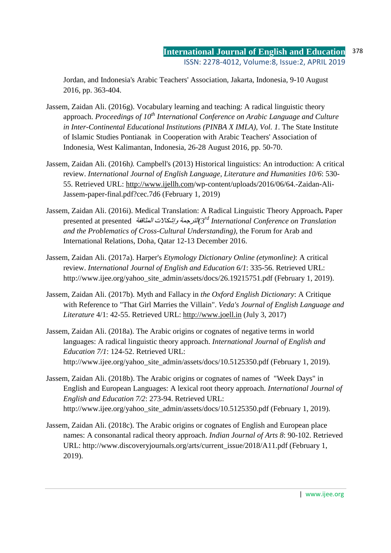Jordan, and Indonesia's Arabic Teachers' Association, Jakarta, Indonesia, 9-10 August 2016, pp. 363-404.

- Jassem, Zaidan Ali. (2016g). Vocabulary learning and teaching: A radical linguistic theory approach. *Proceedings of 10th International Conference on Arabic Language and Culture in Inter-Continental Educational Institutions (PINBA X IMLA), Vol. 1*. The State Institute of Islamic Studies Pontianak in Cooperation with Arabic Teachers' Association of Indonesia, West Kalimantan, Indonesia, 26-28 August 2016, pp. 50-70.
- Jassem, Zaidan Ali. (2016h*).* Campbell's (2013) Historical linguistics: An introduction: A critical review. *International Journal of English Language, Literature and Humanities 10/6*: 530- 55. Retrieved URL: http://www.ijellh.com/wp-content/uploads/2016/06/64.-Zaidan-Ali-Jassem-paper-final.pdf?cec.7d6 (February 1, 2019)
- Jassem, Zaidan Ali. (2016i). Medical Translation: A Radical Linguistic Theory Approach**.** Paper presented at presented المثاقفة وإشكالات الترجمة*)3rd International Conference on Translation and the Problematics of Cross-Cultural Understanding)*, the Forum for Arab and International Relations, Doha, Qatar 12-13 December 2016.
- Jassem, Zaidan Ali. (2017a). Harper's *Etymology Dictionary Online (etymonline)*: A critical review. *International Journal of English and Education 6/1*: 335-56. Retrieved URL: http://www.ijee.org/yahoo\_site\_admin/assets/docs/26.19215751.pdf (February 1, 2019).
- Jassem, Zaidan Ali. (2017b). Myth and Fallacy in *the Oxford English Dictionary*: A Critique with Reference to "That Girl Marries the Villain". *Veda's Journal of English Language and Literature* 4/1: 42-55. Retrieved URL: http://www.joell.in (July 3, 2017)
- Jassem, Zaidan Ali. (2018a). The Arabic origins or cognates of negative terms in world languages: A radical linguistic theory approach. *International Journal of English and Education 7/1*: 124-52. Retrieved URL: http://www.ijee.org/yahoo\_site\_admin/assets/docs/10.5125350.pdf (February 1, 2019).
- Jassem, Zaidan Ali. (2018b). The Arabic origins or cognates of names of "Week Days" in English and European Languages: A lexical root theory approach. *International Journal of English and Education 7/2*: 273-94. Retrieved URL: http://www.ijee.org/yahoo\_site\_admin/assets/docs/10.5125350.pdf (February 1, 2019).
- Jassem, Zaidan Ali. (2018c). The Arabic origins or cognates of English and European place names: A consonantal radical theory approach. *Indian Journal of Arts 8*: 90-102. Retrieved URL: http://www.discoveryjournals.org/arts/current\_issue/2018/A11.pdf (February 1, 2019).